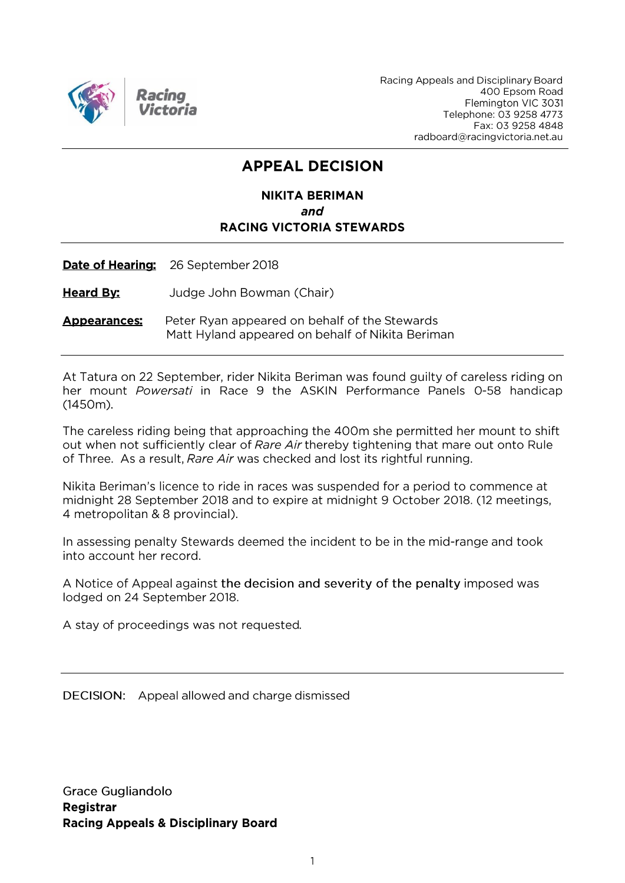

Racing Appeals and Disciplinary Board 400 Epsom Road Flemington VIC 3031 Telephone: 03 9258 4773 Fax: 03 9258 4848 radboard@racingvictoria.net.au

# **APPEAL DECISION**

#### **NIKITA BERIMAN** and **RACING VICTORIA STEWARDS**

Date of Hearing: 26 September 2018

**Heard By:** Judge John Bowman (Chair)

**Appearances:** Peter Ryan appeared on behalf of the Stewards Matt Hyland appeared on behalf of Nikita Beriman

At Tatura on 22 September, rider Nikita Beriman was found guilty of careless riding on her mount Powersati in Race 9 the ASKIN Performance Panels 0-58 handicap  $(1450m).$ 

The careless riding being that approaching the 400m she permitted her mount to shift out when not sufficiently clear of Rare Air thereby tightening that mare out onto Rule of Three. As a result, Rare Air was checked and lost its rightful running.

Nikita Beriman's licence to ride in races was suspended for a period to commence at midnight 28 September 2018 and to expire at midnight 9 October 2018. (12 meetings, 4 metropolitan & 8 provincial).

In assessing penalty Stewards deemed the incident to be in the mid-range and took into account her record.

A Notice of Appeal against the decision and severity of the penalty imposed was lodged on 24 September 2018.

A stay of proceedings was not requested.

DECISION: Appeal allowed and charge dismissed

**Grace Gugliandolo** Registrar **Racing Appeals & Disciplinary Board**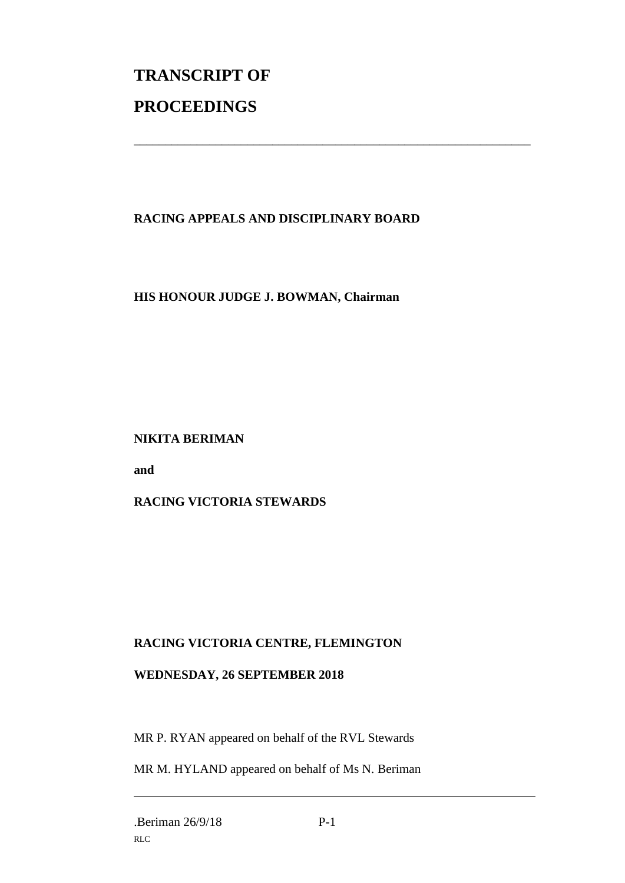# **TRANSCRIPT OF PROCEEDINGS**

## **RACING APPEALS AND DISCIPLINARY BOARD**

\_\_\_\_\_\_\_\_\_\_\_\_\_\_\_\_\_\_\_\_\_\_\_\_\_\_\_\_\_\_\_\_\_\_\_\_\_\_\_\_\_\_\_\_\_\_\_\_\_\_\_\_\_\_\_\_\_\_\_\_\_\_\_

#### **HIS HONOUR JUDGE J. BOWMAN, Chairman**

#### **NIKITA BERIMAN**

**and**

#### **RACING VICTORIA STEWARDS**

## **RACING VICTORIA CENTRE, FLEMINGTON**

#### **WEDNESDAY, 26 SEPTEMBER 2018**

MR P. RYAN appeared on behalf of the RVL Stewards

MR M. HYLAND appeared on behalf of Ms N. Beriman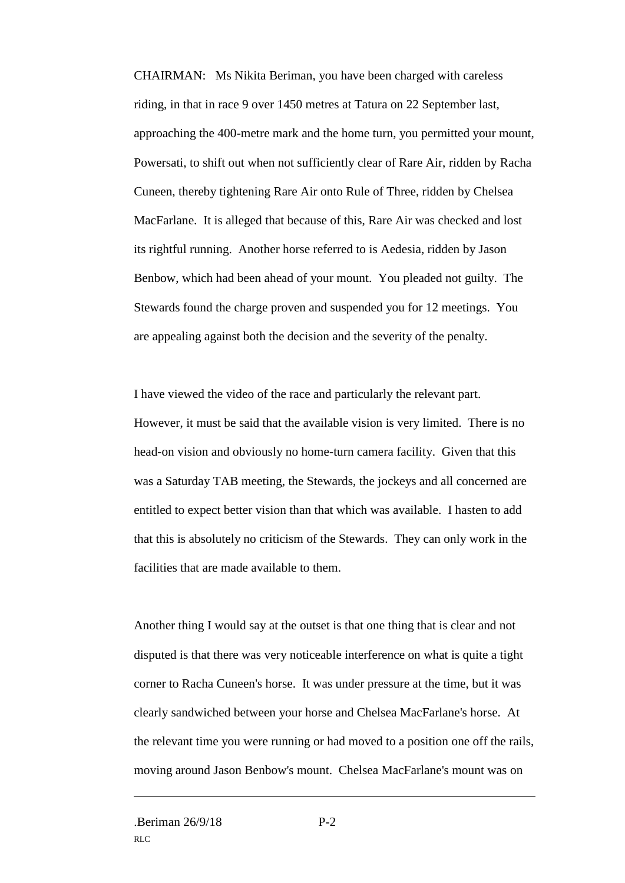CHAIRMAN: Ms Nikita Beriman, you have been charged with careless riding, in that in race 9 over 1450 metres at Tatura on 22 September last, approaching the 400-metre mark and the home turn, you permitted your mount, Powersati, to shift out when not sufficiently clear of Rare Air, ridden by Racha Cuneen, thereby tightening Rare Air onto Rule of Three, ridden by Chelsea MacFarlane. It is alleged that because of this, Rare Air was checked and lost its rightful running. Another horse referred to is Aedesia, ridden by Jason Benbow, which had been ahead of your mount. You pleaded not guilty. The Stewards found the charge proven and suspended you for 12 meetings. You are appealing against both the decision and the severity of the penalty.

I have viewed the video of the race and particularly the relevant part. However, it must be said that the available vision is very limited. There is no head-on vision and obviously no home-turn camera facility. Given that this was a Saturday TAB meeting, the Stewards, the jockeys and all concerned are entitled to expect better vision than that which was available. I hasten to add that this is absolutely no criticism of the Stewards. They can only work in the facilities that are made available to them.

Another thing I would say at the outset is that one thing that is clear and not disputed is that there was very noticeable interference on what is quite a tight corner to Racha Cuneen's horse. It was under pressure at the time, but it was clearly sandwiched between your horse and Chelsea MacFarlane's horse. At the relevant time you were running or had moved to a position one off the rails, moving around Jason Benbow's mount. Chelsea MacFarlane's mount was on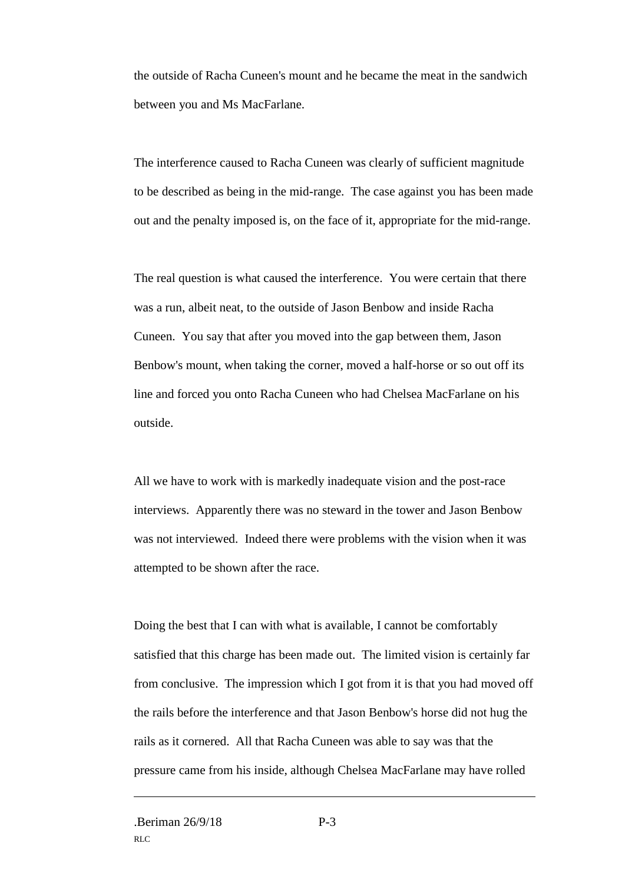the outside of Racha Cuneen's mount and he became the meat in the sandwich between you and Ms MacFarlane.

The interference caused to Racha Cuneen was clearly of sufficient magnitude to be described as being in the mid-range. The case against you has been made out and the penalty imposed is, on the face of it, appropriate for the mid-range.

The real question is what caused the interference. You were certain that there was a run, albeit neat, to the outside of Jason Benbow and inside Racha Cuneen. You say that after you moved into the gap between them, Jason Benbow's mount, when taking the corner, moved a half-horse or so out off its line and forced you onto Racha Cuneen who had Chelsea MacFarlane on his outside.

All we have to work with is markedly inadequate vision and the post-race interviews. Apparently there was no steward in the tower and Jason Benbow was not interviewed. Indeed there were problems with the vision when it was attempted to be shown after the race.

Doing the best that I can with what is available, I cannot be comfortably satisfied that this charge has been made out. The limited vision is certainly far from conclusive. The impression which I got from it is that you had moved off the rails before the interference and that Jason Benbow's horse did not hug the rails as it cornered. All that Racha Cuneen was able to say was that the pressure came from his inside, although Chelsea MacFarlane may have rolled